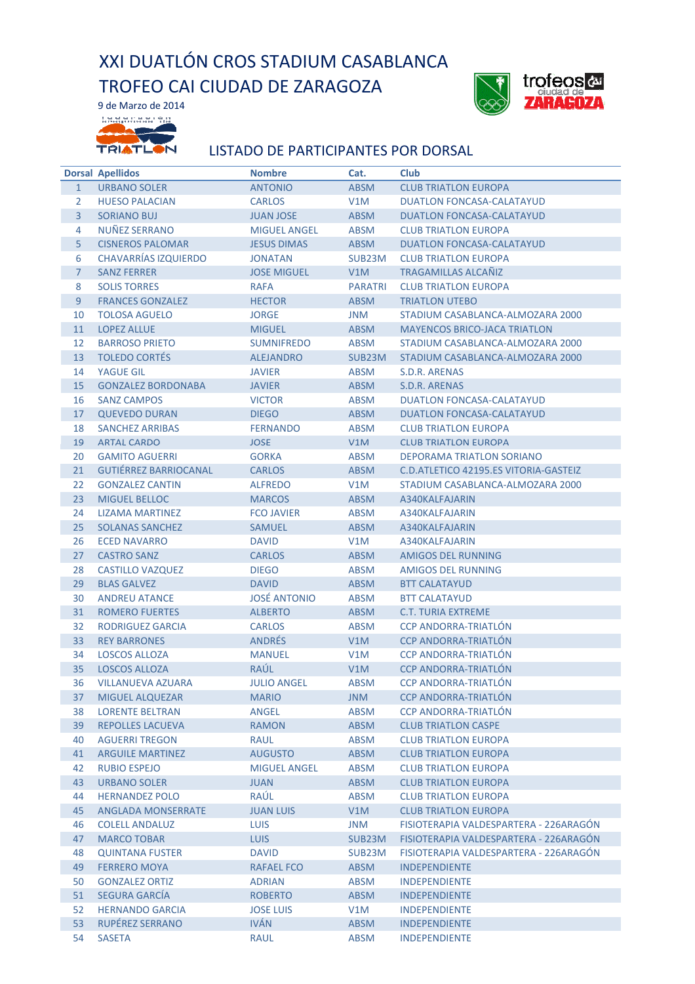## XXI DUATLÓN CROS STADIUM CASABLANCA TROFEO CAI CIUDAD DE ZARAGOZA



9 de Marzo de 2014 **Legeneer** as **COLORADO** TRIATLON

## LISTADO DE PARTICIPANTES POR DORSAL

|                       | <b>Dorsal Apellidos</b>      | <b>Nombre</b>       | Cat.                | <b>Club</b>                            |
|-----------------------|------------------------------|---------------------|---------------------|----------------------------------------|
| $\mathbf{1}$          | <b>URBANO SOLER</b>          | <b>ANTONIO</b>      | <b>ABSM</b>         | <b>CLUB TRIATLON EUROPA</b>            |
| $\mathbf{2}^{\prime}$ | <b>HUESO PALACIAN</b>        | <b>CARLOS</b>       | V1M                 | <b>DUATLON FONCASA-CALATAYUD</b>       |
| 3                     | <b>SORIANO BUJ</b>           | <b>JUAN JOSE</b>    | <b>ABSM</b>         | DUATLON FONCASA-CALATAYUD              |
| 4                     | NUÑEZ SERRANO                | <b>MIGUEL ANGEL</b> | <b>ABSM</b>         | <b>CLUB TRIATLON EUROPA</b>            |
| 5                     | <b>CISNEROS PALOMAR</b>      | <b>JESUS DIMAS</b>  | <b>ABSM</b>         | <b>DUATLON FONCASA-CALATAYUD</b>       |
| 6                     | <b>CHAVARRÍAS IZQUIERDO</b>  | <b>JONATAN</b>      | SUB <sub>23</sub> M | <b>CLUB TRIATLON EUROPA</b>            |
| $\overline{7}$        | <b>SANZ FERRER</b>           | <b>JOSE MIGUEL</b>  | V1M                 | <b>TRAGAMILLAS ALCANIZ</b>             |
| 8                     | <b>SOLIS TORRES</b>          | <b>RAFA</b>         | <b>PARATRI</b>      | <b>CLUB TRIATLON EUROPA</b>            |
| 9                     | <b>FRANCES GONZALEZ</b>      | <b>HECTOR</b>       | <b>ABSM</b>         | <b>TRIATLON UTEBO</b>                  |
| 10                    | <b>TOLOSA AGUELO</b>         | <b>JORGE</b>        | JNM                 | STADIUM CASABLANCA-ALMOZARA 2000       |
| 11                    | <b>LOPEZ ALLUE</b>           | <b>MIGUEL</b>       | <b>ABSM</b>         | <b>MAYENCOS BRICO-JACA TRIATLON</b>    |
| 12                    | <b>BARROSO PRIETO</b>        | <b>SUMNIFREDO</b>   | <b>ABSM</b>         | STADIUM CASABLANCA-ALMOZARA 2000       |
| 13                    | <b>TOLEDO CORTÉS</b>         | <b>ALEJANDRO</b>    | SUB23M              | STADIUM CASABLANCA-ALMOZARA 2000       |
| 14                    | YAGUE GIL                    | <b>JAVIER</b>       | ABSM                | S.D.R. ARENAS                          |
| 15                    | <b>GONZALEZ BORDONABA</b>    | <b>JAVIER</b>       | <b>ABSM</b>         | S.D.R. ARENAS                          |
| 16                    | <b>SANZ CAMPOS</b>           | <b>VICTOR</b>       | ABSM                | <b>DUATLON FONCASA-CALATAYUD</b>       |
| 17                    | <b>QUEVEDO DURAN</b>         | <b>DIEGO</b>        | <b>ABSM</b>         | <b>DUATLON FONCASA-CALATAYUD</b>       |
| 18                    | <b>SANCHEZ ARRIBAS</b>       | <b>FERNANDO</b>     | ABSM                | <b>CLUB TRIATLON EUROPA</b>            |
| 19                    | <b>ARTAL CARDO</b>           | <b>JOSE</b>         | V1M                 | <b>CLUB TRIATLON EUROPA</b>            |
| 20                    | <b>GAMITO AGUERRI</b>        | <b>GORKA</b>        | ABSM                | DEPORAMA TRIATLON SORIANO              |
| 21                    | <b>GUTIÉRREZ BARRIOCANAL</b> | <b>CARLOS</b>       | <b>ABSM</b>         | C.D. ATLETICO 42195.ES VITORIA-GASTEIZ |
| 22                    | <b>GONZALEZ CANTIN</b>       | <b>ALFREDO</b>      | V1M                 | STADIUM CASABLANCA-ALMOZARA 2000       |
| 23                    | <b>MIGUEL BELLOC</b>         | <b>MARCOS</b>       | <b>ABSM</b>         | A340KALFAJARIN                         |
| 24                    | LIZAMA MARTINEZ              | <b>FCO JAVIER</b>   | ABSM                | A340KALFAJARIN                         |
| 25                    | <b>SOLANAS SANCHEZ</b>       | <b>SAMUEL</b>       | <b>ABSM</b>         | A340KALFAJARIN                         |
| 26                    | <b>ECED NAVARRO</b>          | <b>DAVID</b>        | V1M                 | A340KALFAJARIN                         |
| 27                    | <b>CASTRO SANZ</b>           | <b>CARLOS</b>       | <b>ABSM</b>         | <b>AMIGOS DEL RUNNING</b>              |
| 28                    | CASTILLO VAZQUEZ             | <b>DIEGO</b>        | ABSM                | <b>AMIGOS DEL RUNNING</b>              |
| 29                    | <b>BLAS GALVEZ</b>           | <b>DAVID</b>        | <b>ABSM</b>         | <b>BTT CALATAYUD</b>                   |
| 30                    | <b>ANDREU ATANCE</b>         | <b>JOSÉ ANTONIO</b> | <b>ABSM</b>         | <b>BTT CALATAYUD</b>                   |
| 31                    | <b>ROMERO FUERTES</b>        | <b>ALBERTO</b>      | <b>ABSM</b>         | <b>C.T. TURIA EXTREME</b>              |
| 32                    | RODRIGUEZ GARCIA             | <b>CARLOS</b>       | <b>ABSM</b>         | <b>CCP ANDORRA-TRIATLON</b>            |
| 33                    | <b>REY BARRONES</b>          | <b>ANDRÉS</b>       | V1M                 | <b>CCP ANDORRA-TRIATLÓN</b>            |
| 34                    | LOSCOS ALLOZA                | <b>MANUEL</b>       | V1M                 | <b>CCP ANDORRA-TRIATLON</b>            |
| 35                    | <b>LOSCOS ALLOZA</b>         | RAÚL                | V1M                 | <b>CCP ANDORRA-TRIATLÓN</b>            |
| 36                    | <b>VILLANUEVA AZUARA</b>     | <b>JULIO ANGEL</b>  | <b>ABSM</b>         | <b>CCP ANDORRA-TRIATLÓN</b>            |
| 37                    | <b>MIGUEL ALQUEZAR</b>       | <b>MARIO</b>        | <b>JNM</b>          | <b>CCP ANDORRA-TRIATLON</b>            |
| 38                    | <b>LORENTE BELTRAN</b>       | ANGEL               | <b>ABSM</b>         | <b>CCP ANDORRA-TRIATLÓN</b>            |
| 39                    | <b>REPOLLES LACUEVA</b>      | <b>RAMON</b>        | <b>ABSM</b>         | <b>CLUB TRIATLON CASPE</b>             |
| 40                    | <b>AGUERRI TREGON</b>        | <b>RAUL</b>         | <b>ABSM</b>         | <b>CLUB TRIATLON EUROPA</b>            |
| 41                    | <b>ARGUILE MARTINEZ</b>      | <b>AUGUSTO</b>      | <b>ABSM</b>         | <b>CLUB TRIATLON EUROPA</b>            |
| 42                    | <b>RUBIO ESPEJO</b>          | <b>MIGUEL ANGEL</b> | <b>ABSM</b>         | <b>CLUB TRIATLON EUROPA</b>            |
| 43                    | <b>URBANO SOLER</b>          | JUAN                | <b>ABSM</b>         | <b>CLUB TRIATLON EUROPA</b>            |
| 44                    | <b>HERNANDEZ POLO</b>        | RAÚL                | <b>ABSM</b>         | <b>CLUB TRIATLON EUROPA</b>            |
| 45                    | <b>ANGLADA MONSERRATE</b>    | <b>JUAN LUIS</b>    | V1M                 | <b>CLUB TRIATLON EUROPA</b>            |
| 46                    | <b>COLELL ANDALUZ</b>        | <b>LUIS</b>         | <b>JNM</b>          | FISIOTERAPIA VALDESPARTERA - 226ARAGÓN |
| 47                    | <b>MARCO TOBAR</b>           | <b>LUIS</b>         | SUB23M              | FISIOTERAPIA VALDESPARTERA - 226ARAGÓN |
| 48                    | <b>QUINTANA FUSTER</b>       | <b>DAVID</b>        | SUB23M              | FISIOTERAPIA VALDESPARTERA - 226ARAGON |
| 49                    | <b>FERRERO MOYA</b>          | RAFAEL FCO          | <b>ABSM</b>         | <b>INDEPENDIENTE</b>                   |
| 50                    | <b>GONZALEZ ORTIZ</b>        | <b>ADRIAN</b>       | <b>ABSM</b>         | <b>INDEPENDIENTE</b>                   |
| 51                    | <b>SEGURA GARCÍA</b>         | <b>ROBERTO</b>      | <b>ABSM</b>         | <b>INDEPENDIENTE</b>                   |
| 52                    | <b>HERNANDO GARCIA</b>       | <b>JOSE LUIS</b>    | V1M                 | <b>INDEPENDIENTE</b>                   |
| 53                    | <b>RUPÉREZ SERRANO</b>       | <b>IVÁN</b>         | <b>ABSM</b>         | <b>INDEPENDIENTE</b>                   |
| 54                    | <b>SASETA</b>                | <b>RAUL</b>         | <b>ABSM</b>         | <b>INDEPENDIENTE</b>                   |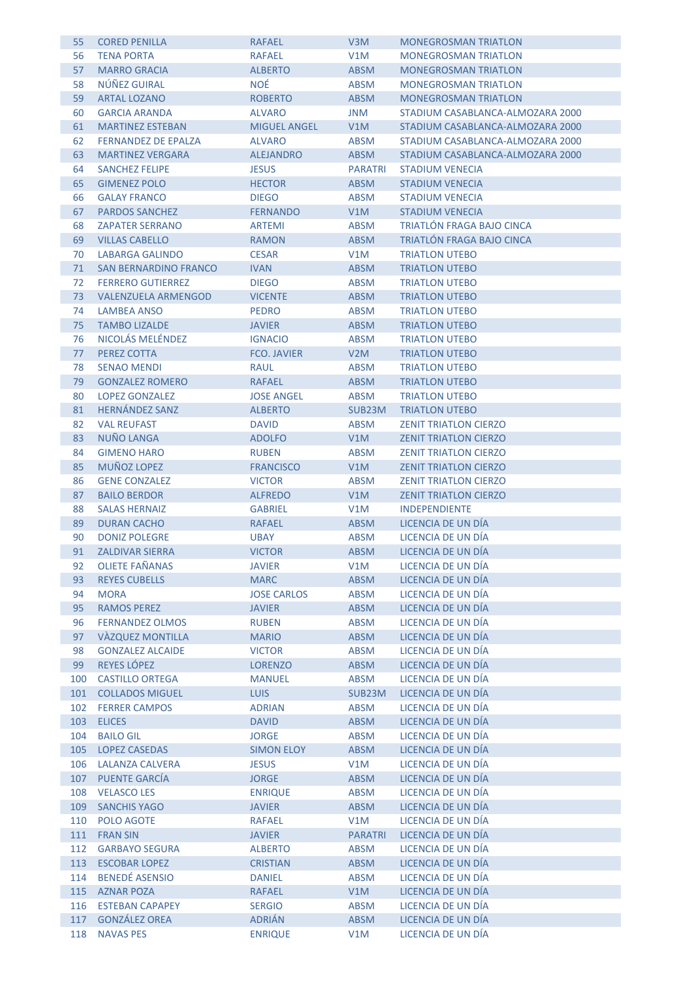| 55  | <b>CORED PENILLA</b>         | <b>RAFAEL</b>       | V <sub>3</sub> M | <b>MONEGROSMAN TRIATLON</b>      |
|-----|------------------------------|---------------------|------------------|----------------------------------|
| 56  | <b>TENA PORTA</b>            | <b>RAFAEL</b>       | V1M              | <b>MONEGROSMAN TRIATLON</b>      |
| 57  | <b>MARRO GRACIA</b>          | <b>ALBERTO</b>      | <b>ABSM</b>      | <b>MONEGROSMAN TRIATLON</b>      |
| 58  | NÚÑEZ GUIRAL                 | <b>NOÉ</b>          | <b>ABSM</b>      | <b>MONEGROSMAN TRIATLON</b>      |
| 59  | <b>ARTAL LOZANO</b>          | <b>ROBERTO</b>      | <b>ABSM</b>      | <b>MONEGROSMAN TRIATLON</b>      |
| 60  | <b>GARCIA ARANDA</b>         | <b>ALVARO</b>       | <b>JNM</b>       | STADIUM CASABLANCA-ALMOZARA 2000 |
| 61  | <b>MARTINEZ ESTEBAN</b>      | <b>MIGUEL ANGEL</b> | V1M              | STADIUM CASABLANCA-ALMOZARA 2000 |
| 62  | <b>FERNANDEZ DE EPALZA</b>   | <b>ALVARO</b>       | <b>ABSM</b>      | STADIUM CASABLANCA-ALMOZARA 2000 |
| 63  | <b>MARTINEZ VERGARA</b>      | <b>ALEJANDRO</b>    | <b>ABSM</b>      | STADIUM CASABLANCA-ALMOZARA 2000 |
| 64  | <b>SANCHEZ FELIPE</b>        | <b>JESUS</b>        | <b>PARATRI</b>   | <b>STADIUM VENECIA</b>           |
| 65  | <b>GIMENEZ POLO</b>          | <b>HECTOR</b>       | <b>ABSM</b>      | <b>STADIUM VENECIA</b>           |
| 66  | <b>GALAY FRANCO</b>          | <b>DIEGO</b>        | <b>ABSM</b>      | STADIUM VENECIA                  |
| 67  | <b>PARDOS SANCHEZ</b>        | <b>FERNANDO</b>     | V1M              | <b>STADIUM VENECIA</b>           |
| 68  | <b>ZAPATER SERRANO</b>       | <b>ARTEMI</b>       | <b>ABSM</b>      | <b>TRIATLÓN FRAGA BAJO CINCA</b> |
| 69  | <b>VILLAS CABELLO</b>        | <b>RAMON</b>        | <b>ABSM</b>      | TRIATLÓN FRAGA BAJO CINCA        |
| 70  | LABARGA GALINDO              | <b>CESAR</b>        | V1M              | <b>TRIATLON UTEBO</b>            |
| 71  | <b>SAN BERNARDINO FRANCO</b> | <b>IVAN</b>         | <b>ABSM</b>      | <b>TRIATLON UTEBO</b>            |
| 72  | <b>FERRERO GUTIERREZ</b>     | <b>DIEGO</b>        | <b>ABSM</b>      | <b>TRIATLON UTEBO</b>            |
|     |                              |                     |                  |                                  |
| 73  | <b>VALENZUELA ARMENGOD</b>   | <b>VICENTE</b>      | <b>ABSM</b>      | <b>TRIATLON UTEBO</b>            |
| 74  | LAMBEA ANSO                  | <b>PEDRO</b>        | <b>ABSM</b>      | <b>TRIATLON UTEBO</b>            |
| 75  | <b>TAMBO LIZALDE</b>         | <b>JAVIER</b>       | <b>ABSM</b>      | <b>TRIATLON UTEBO</b>            |
| 76  | NICOLÁS MELÉNDEZ             | <b>IGNACIO</b>      | <b>ABSM</b>      | <b>TRIATLON UTEBO</b>            |
| 77  | PEREZ COTTA                  | <b>FCO. JAVIER</b>  | V2M              | <b>TRIATLON UTEBO</b>            |
| 78  | <b>SENAO MENDI</b>           | <b>RAUL</b>         | <b>ABSM</b>      | <b>TRIATLON UTEBO</b>            |
| 79  | <b>GONZALEZ ROMERO</b>       | <b>RAFAEL</b>       | <b>ABSM</b>      | <b>TRIATLON UTEBO</b>            |
| 80  | <b>LOPEZ GONZALEZ</b>        | <b>JOSE ANGEL</b>   | <b>ABSM</b>      | <b>TRIATLON UTEBO</b>            |
| 81  | <b>HERNÁNDEZ SANZ</b>        | <b>ALBERTO</b>      | SUB23M           | <b>TRIATLON UTEBO</b>            |
| 82  | <b>VAL REUFAST</b>           | <b>DAVID</b>        | <b>ABSM</b>      | <b>ZENIT TRIATLON CIERZO</b>     |
| 83  | NUÑO LANGA                   | <b>ADOLFO</b>       | V1M              | <b>ZENIT TRIATLON CIERZO</b>     |
| 84  | <b>GIMENO HARO</b>           | <b>RUBEN</b>        | <b>ABSM</b>      | <b>ZENIT TRIATLON CIERZO</b>     |
| 85  | MUÑOZ LOPEZ                  | <b>FRANCISCO</b>    | V1M              | <b>ZENIT TRIATLON CIERZO</b>     |
| 86  | <b>GENE CONZALEZ</b>         | <b>VICTOR</b>       | <b>ABSM</b>      | <b>ZENIT TRIATLON CIERZO</b>     |
| 87  | <b>BAILO BERDOR</b>          | <b>ALFREDO</b>      | V1M              | <b>ZENIT TRIATLON CIERZO</b>     |
| 88  | <b>SALAS HERNAIZ</b>         | <b>GABRIEL</b>      | V1M              | <b>INDEPENDIENTE</b>             |
| 89  | <b>DURAN CACHO</b>           | <b>RAFAEL</b>       | <b>ABSM</b>      | LICENCIA DE UN DÍA               |
| 90  | <b>DONIZ POLEGRE</b>         | <b>UBAY</b>         | <b>ABSM</b>      | LICENCIA DE UN DÍA               |
| 91  | <b>ZALDIVAR SIERRA</b>       | <b>VICTOR</b>       | <b>ABSM</b>      | LICENCIA DE UN DÍA               |
| 92  | <b>OLIETE FAÑANAS</b>        | <b>JAVIER</b>       | V1M              | LICENCIA DE UN DÍA               |
| 93  | <b>REYES CUBELLS</b>         | <b>MARC</b>         | <b>ABSM</b>      | LICENCIA DE UN DÍA               |
| 94  | <b>MORA</b>                  | <b>JOSE CARLOS</b>  | ABSM             | LICENCIA DE UN DÍA               |
| 95  | <b>RAMOS PEREZ</b>           | <b>JAVIER</b>       | <b>ABSM</b>      | LICENCIA DE UN DÍA               |
| 96  | <b>FERNANDEZ OLMOS</b>       | <b>RUBEN</b>        | <b>ABSM</b>      | LICENCIA DE UN DÍA               |
| 97  | <b>VÀZQUEZ MONTILLA</b>      | <b>MARIO</b>        | ABSM             | LICENCIA DE UN DÍA               |
| 98  | <b>GONZALEZ ALCAIDE</b>      | <b>VICTOR</b>       | ABSM             | LICENCIA DE UN DÍA               |
| 99  | REYES LÓPEZ                  | <b>LORENZO</b>      | <b>ABSM</b>      | LICENCIA DE UN DÍA               |
| 100 | <b>CASTILLO ORTEGA</b>       | <b>MANUEL</b>       | ABSM             | LICENCIA DE UN DÍA               |
| 101 | <b>COLLADOS MIGUEL</b>       | <b>LUIS</b>         | SUB23M           | LICENCIA DE UN DÍA               |
| 102 | <b>FERRER CAMPOS</b>         | <b>ADRIAN</b>       | <b>ABSM</b>      | LICENCIA DE UN DÍA               |
| 103 | <b>ELICES</b>                | <b>DAVID</b>        | ABSM             | LICENCIA DE UN DÍA               |
| 104 | <b>BAILO GIL</b>             | <b>JORGE</b>        | ABSM             | LICENCIA DE UN DÍA               |
| 105 | <b>LOPEZ CASEDAS</b>         | <b>SIMON ELOY</b>   | <b>ABSM</b>      | LICENCIA DE UN DÍA               |
| 106 | <b>LALANZA CALVERA</b>       | <b>JESUS</b>        | V1M              | LICENCIA DE UN DÍA               |
| 107 | PUENTE GARCÍA                | <b>JORGE</b>        | <b>ABSM</b>      | LICENCIA DE UN DÍA               |
| 108 | <b>VELASCO LES</b>           | <b>ENRIQUE</b>      | <b>ABSM</b>      | LICENCIA DE UN DÍA               |
| 109 | <b>SANCHIS YAGO</b>          | <b>JAVIER</b>       | ABSM             | LICENCIA DE UN DÍA               |
| 110 | POLO AGOTE                   | <b>RAFAEL</b>       | V1M              | LICENCIA DE UN DÍA               |
| 111 | <b>FRAN SIN</b>              | <b>JAVIER</b>       | <b>PARATRI</b>   | LICENCIA DE UN DÍA               |
| 112 | <b>GARBAYO SEGURA</b>        | <b>ALBERTO</b>      | <b>ABSM</b>      | LICENCIA DE UN DÍA               |
| 113 | <b>ESCOBAR LOPEZ</b>         | <b>CRISTIAN</b>     | ABSM             | LICENCIA DE UN DÍA               |
| 114 | <b>BENEDÉ ASENSIO</b>        | <b>DANIEL</b>       | ABSM             | LICENCIA DE UN DÍA               |
| 115 | <b>AZNAR POZA</b>            | <b>RAFAEL</b>       | V1M              | LICENCIA DE UN DÍA               |
| 116 | <b>ESTEBAN CAPAPEY</b>       | <b>SERGIO</b>       | <b>ABSM</b>      | LICENCIA DE UN DÍA               |
| 117 | <b>GONZÁLEZ OREA</b>         | <b>ADRIÁN</b>       | <b>ABSM</b>      | LICENCIA DE UN DÍA               |
| 118 | <b>NAVAS PES</b>             | <b>ENRIQUE</b>      | V1M              | LICENCIA DE UN DÍA               |
|     |                              |                     |                  |                                  |